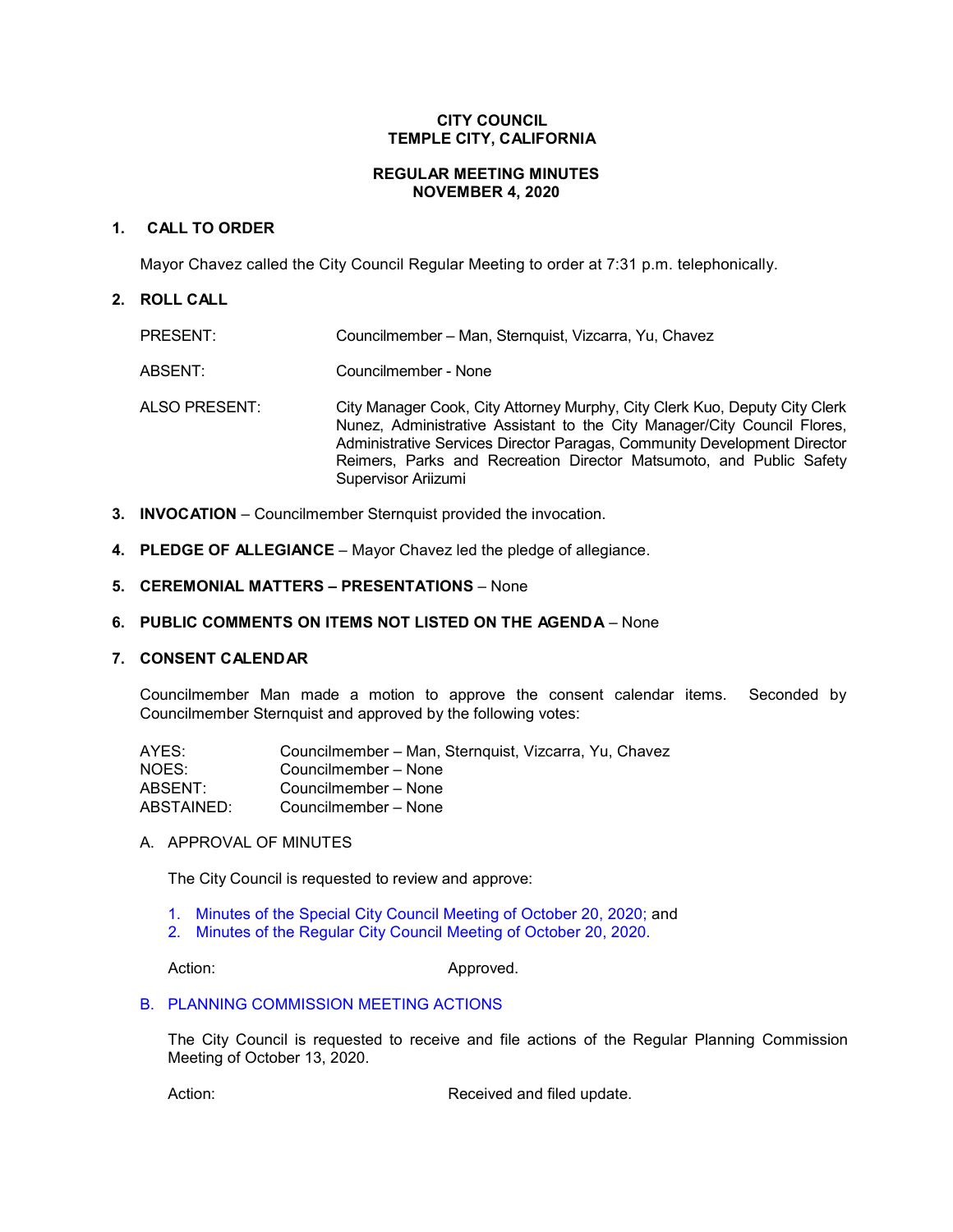# **CITY COUNCIL TEMPLE CITY, CALIFORNIA**

# **REGULAR MEETING MINUTES NOVEMBER 4, 2020**

# **1. CALL TO ORDER**

Mayor Chavez called the City Council Regular Meeting to order at 7:31 p.m. telephonically.

# **2. ROLL CALL**

| PRESENT:      | Councilmember – Man, Sternquist, Vizcarra, Yu, Chavez                                                                                                                                                                                                                                                                            |
|---------------|----------------------------------------------------------------------------------------------------------------------------------------------------------------------------------------------------------------------------------------------------------------------------------------------------------------------------------|
| ABSENT:       | Councilmember - None                                                                                                                                                                                                                                                                                                             |
| ALSO PRESENT: | City Manager Cook, City Attorney Murphy, City Clerk Kuo, Deputy City Clerk<br>Nunez, Administrative Assistant to the City Manager/City Council Flores,<br>Administrative Services Director Paragas, Community Development Director<br>Reimers, Parks and Recreation Director Matsumoto, and Public Safety<br>Supervisor Ariizumi |

- **3. INVOCATION** Councilmember Sternquist provided the invocation.
- **4. PLEDGE OF ALLEGIANCE** Mayor Chavez led the pledge of allegiance.
- **5. CEREMONIAL MATTERS – PRESENTATIONS**  None

# **6. PUBLIC COMMENTS ON ITEMS NOT LISTED ON THE AGENDA** – None

#### **7. CONSENT CALENDAR**

Councilmember Man made a motion to approve the consent calendar items. Seconded by Councilmember Sternquist and approved by the following votes:

| AYES:      | Councilmember - Man, Sternquist, Vizcarra, Yu, Chavez |
|------------|-------------------------------------------------------|
| NOES:      | Councilmember – None                                  |
| ABSENT:    | Councilmember – None                                  |
| ABSTAINED: | Councilmember - None                                  |

A. APPROVAL OF MINUTES

The City Council is requested to review and approve:

- 1. Minutes of the Special [City Council Meeting of October 20, 2020;](https://ca-templecity.civicplus.com/DocumentCenter/View/15259/7A1---CCM---2020-10-20-Special) and
- 2. [Minutes of the Regular City Council Meeting of October 20, 2020.](https://ca-templecity.civicplus.com/DocumentCenter/View/15260/7A2---CCM---2020-10-20)

Action: Approved.

### B. [PLANNING COMMISSION MEETING](https://ca-templecity.civicplus.com/DocumentCenter/View/15261/7B---PC-Actions---from-2020-10-13_Final) ACTIONS

The City Council is requested to receive and file actions of the Regular Planning Commission Meeting of October 13, 2020.

Action: **Received and filed update.**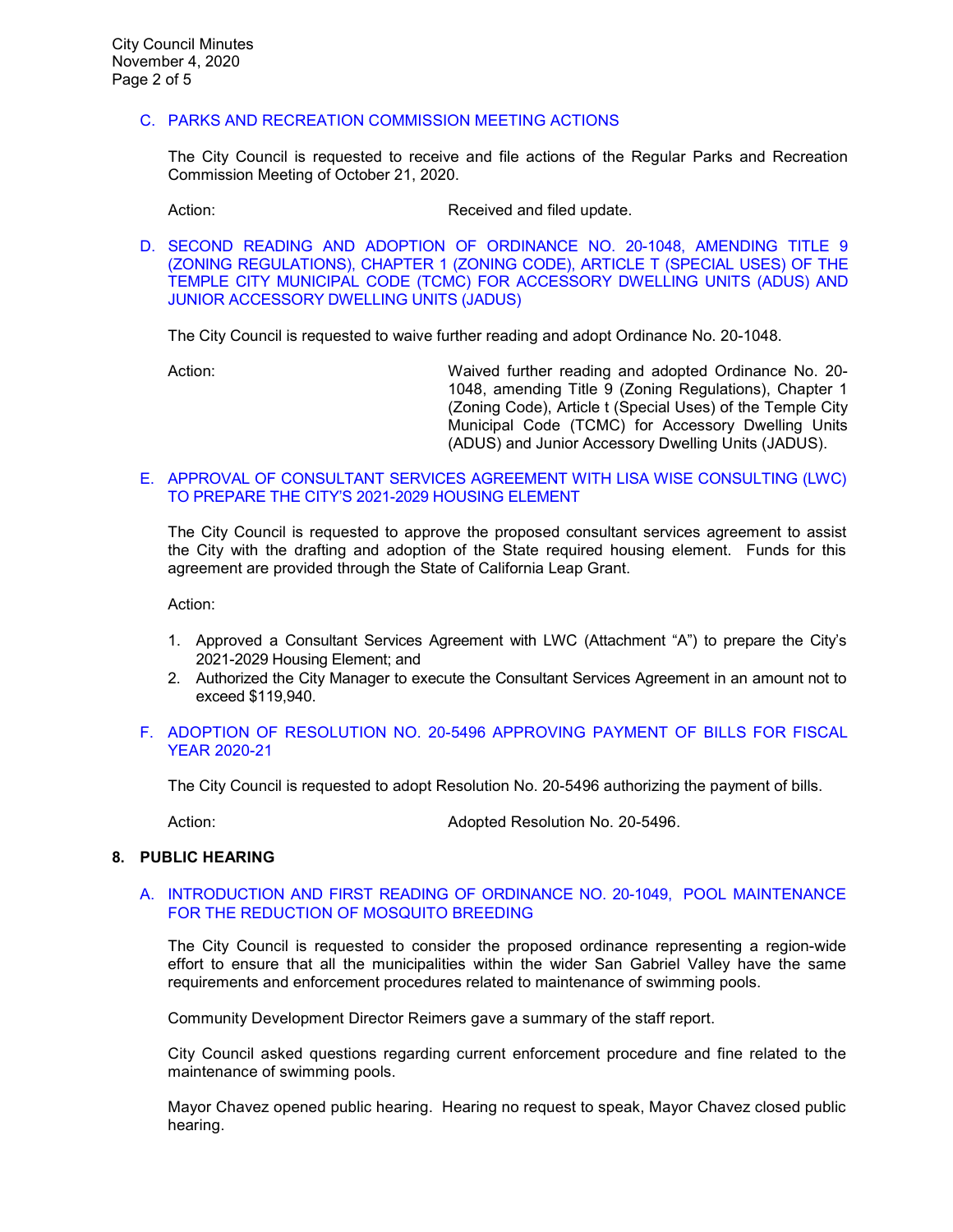# C. PARKS AND RECREATION [COMMISSION MEETING ACTIONS](https://ca-templecity.civicplus.com/DocumentCenter/View/15262/7C---PRC-Regular-Meeting-Actions_Staff-Report-2020-10-21_Final)

The City Council is requested to receive and file actions of the Regular Parks and Recreation Commission Meeting of October 21, 2020.

Action: **Received and filed update.** 

D. [SECOND READING AND ADOPTION OF ORDINANCE NO. 20-1048, AMENDING TITLE 9](https://ca-templecity.civicplus.com/DocumentCenter/View/15263/7D---ADU-Ordinance_2nd-Reading_Staff-Report_Final_w-attachments)  [\(ZONING REGULATIONS\), CHAPTER 1 \(ZONING CODE\), ARTICLE T \(SPECIAL USES\) OF THE](https://ca-templecity.civicplus.com/DocumentCenter/View/15263/7D---ADU-Ordinance_2nd-Reading_Staff-Report_Final_w-attachments)  [TEMPLE CITY MUNICIPAL CODE \(TCMC\) FOR ACCESSORY DWELLING UNITS \(ADUS\) AND](https://ca-templecity.civicplus.com/DocumentCenter/View/15263/7D---ADU-Ordinance_2nd-Reading_Staff-Report_Final_w-attachments)  [JUNIOR ACCESSORY DWELLING UNITS \(JADUS\)](https://ca-templecity.civicplus.com/DocumentCenter/View/15263/7D---ADU-Ordinance_2nd-Reading_Staff-Report_Final_w-attachments)

The City Council is requested to waive further reading and adopt Ordinance No. 20-1048.

Action: Waived further reading and adopted Ordinance No. 20- 1048, amending Title 9 (Zoning Regulations), Chapter 1 (Zoning Code), Article t (Special Uses) of the Temple City Municipal Code (TCMC) for Accessory Dwelling Units (ADUS) and Junior Accessory Dwelling Units (JADUS).

#### E. [APPROVAL OF CONSULTANT SERVICES AGREEMENT WITH LISA WISE CONSULTING \(LWC\)](https://ca-templecity.civicplus.com/DocumentCenter/View/15264/7E---Agreement-Lisa-Wise_-Housing-Element-Update_CC-Staff-Report-2020_11_04_Final-w-attachments)  [TO PREPARE THE CITY'S 2021-2029 HOUSING ELEMENT](https://ca-templecity.civicplus.com/DocumentCenter/View/15264/7E---Agreement-Lisa-Wise_-Housing-Element-Update_CC-Staff-Report-2020_11_04_Final-w-attachments)

The City Council is requested to approve the proposed consultant services agreement to assist the City with the drafting and adoption of the State required housing element. Funds for this agreement are provided through the State of California Leap Grant.

Action:

- 1. Approved a Consultant Services Agreement with LWC (Attachment "A") to prepare the City's 2021-2029 Housing Element; and
- 2. Authorized the City Manager to execute the Consultant Services Agreement in an amount not to exceed \$119,940.

# F. ADOPTION OF RESOLUTION NO. 20-5496 [APPROVING PAYMENT OF BILLS FOR FISCAL](https://ca-templecity.civicplus.com/DocumentCenter/View/15265/7F---Warrant_Reso-No-20-5496-110420_Final-w-attachment)  [YEAR 2020-21](https://ca-templecity.civicplus.com/DocumentCenter/View/15265/7F---Warrant_Reso-No-20-5496-110420_Final-w-attachment)

The City Council is requested to adopt Resolution No. 20-5496 authorizing the payment of bills.

Action: Adopted Resolution No. 20-5496.

#### **8. PUBLIC HEARING**

#### A. [INTRODUCTION AND FIRST READING OF ORDINANCE NO. 20-1049,](https://ca-templecity.civicplus.com/DocumentCenter/View/15266/8A---Pool-Maintenance-for-Reduction-of-Mosquitos-_staff-Report_final-w-attachment) POOL MAINTENANCE [FOR THE REDUCTION OF MOSQUITO BREEDING](https://ca-templecity.civicplus.com/DocumentCenter/View/15266/8A---Pool-Maintenance-for-Reduction-of-Mosquitos-_staff-Report_final-w-attachment)

The City Council is requested to consider the proposed ordinance representing a region-wide effort to ensure that all the municipalities within the wider San Gabriel Valley have the same requirements and enforcement procedures related to maintenance of swimming pools.

Community Development Director Reimers gave a summary of the staff report.

City Council asked questions regarding current enforcement procedure and fine related to the maintenance of swimming pools.

Mayor Chavez opened public hearing. Hearing no request to speak, Mayor Chavez closed public hearing.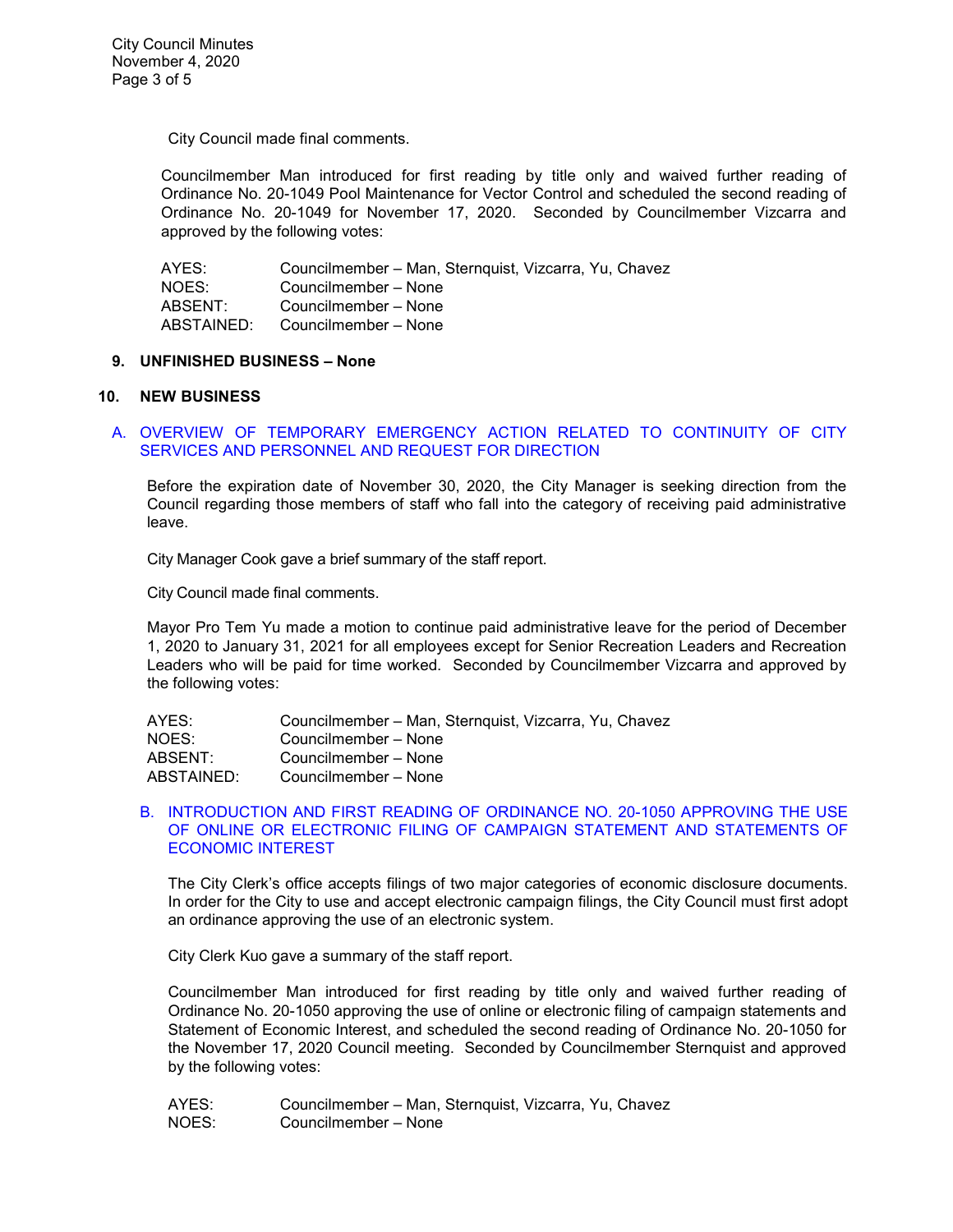City Council made final comments.

Councilmember Man introduced for first reading by title only and waived further reading of Ordinance No. 20-1049 Pool Maintenance for Vector Control and scheduled the second reading of Ordinance No. 20-1049 for November 17, 2020. Seconded by Councilmember Vizcarra and approved by the following votes:

| AYES:      | Councilmember - Man, Sternquist, Vizcarra, Yu, Chavez |
|------------|-------------------------------------------------------|
| NOES:      | Councilmember – None                                  |
| ABSENT:    | Councilmember - None                                  |
| ABSTAINED: | Councilmember - None                                  |

#### **9. UNFINISHED BUSINESS – None**

#### **10. NEW BUSINESS**

# A. [OVERVIEW OF TEMPORARY EMERGENCY ACTION RELATED TO CONTINUITY OF CITY](https://ca-templecity.civicplus.com/DocumentCenter/View/15267/10A---COVID-19_Final)  [SERVICES AND PERSONNEL AND REQUEST FOR DIRECTION](https://ca-templecity.civicplus.com/DocumentCenter/View/15267/10A---COVID-19_Final)

Before the expiration date of November 30, 2020, the City Manager is seeking direction from the Council regarding those members of staff who fall into the category of receiving paid administrative leave.

City Manager Cook gave a brief summary of the staff report.

City Council made final comments.

Mayor Pro Tem Yu made a motion to continue paid administrative leave for the period of December 1, 2020 to January 31, 2021 for all employees except for Senior Recreation Leaders and Recreation Leaders who will be paid for time worked. Seconded by Councilmember Vizcarra and approved by the following votes:

| AYES:      | Councilmember - Man, Sternquist, Vizcarra, Yu, Chavez |
|------------|-------------------------------------------------------|
| NOES:      | Councilmember – None                                  |
| ABSENT:    | Councilmember - None                                  |
| ABSTAINED: | Councilmember - None                                  |

#### B. [INTRODUCTION AND FIRST READING OF ORDINANCE](https://ca-templecity.civicplus.com/DocumentCenter/View/15273/10B---Ord-20-1050-Electronic-and-Paper-Methods-of-Filing-Campaign-Finance-Disclosure-Statements_Final-w-attachment) NO. 20-1050 APPROVING THE USE [OF ONLINE OR ELECTRONIC FILING OF CAMPAIGN STATEMENT AND STATEMENTS OF](https://ca-templecity.civicplus.com/DocumentCenter/View/15273/10B---Ord-20-1050-Electronic-and-Paper-Methods-of-Filing-Campaign-Finance-Disclosure-Statements_Final-w-attachment)  [ECONOMIC INTEREST](https://ca-templecity.civicplus.com/DocumentCenter/View/15273/10B---Ord-20-1050-Electronic-and-Paper-Methods-of-Filing-Campaign-Finance-Disclosure-Statements_Final-w-attachment)

The City Clerk's office accepts filings of two major categories of economic disclosure documents. In order for the City to use and accept electronic campaign filings, the City Council must first adopt an ordinance approving the use of an electronic system.

City Clerk Kuo gave a summary of the staff report.

Councilmember Man introduced for first reading by title only and waived further reading of Ordinance No. 20-1050 approving the use of online or electronic filing of campaign statements and Statement of Economic Interest, and scheduled the second reading of Ordinance No. 20-1050 for the November 17, 2020 Council meeting. Seconded by Councilmember Sternquist and approved by the following votes:

AYES: Councilmember – Man, Sternquist, Vizcarra, Yu, Chavez NOES: Councilmember – None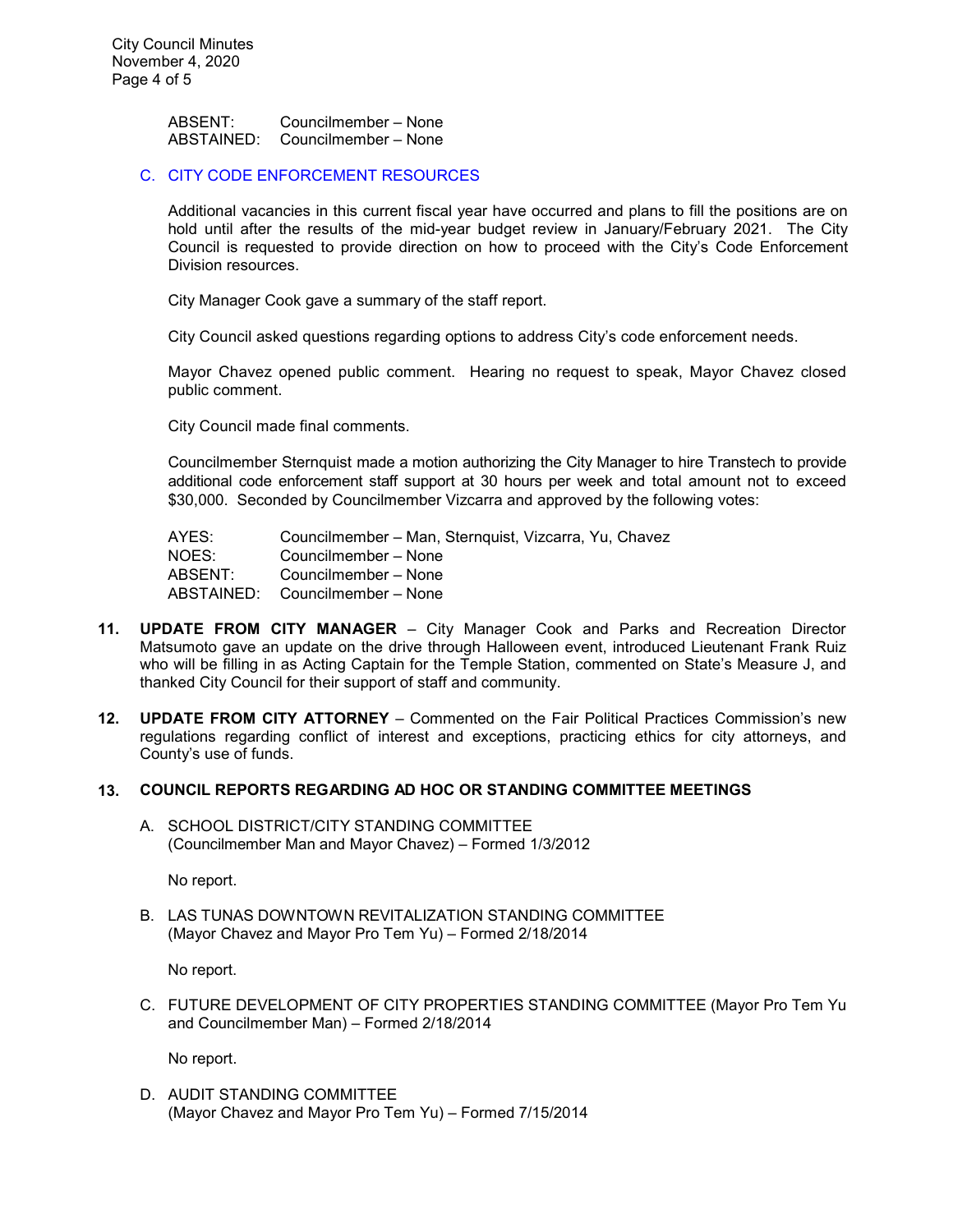ABSENT: Councilmember – None ABSTAINED: Councilmember – None

#### C. [CITY CODE ENFORCEMENT RESOURCES](https://ca-templecity.civicplus.com/DocumentCenter/View/15268/10C---Code-Enforcement_staff-report_Final)

Additional vacancies in this current fiscal year have occurred and plans to fill the positions are on hold until after the results of the mid-year budget review in January/February 2021. The City Council is requested to provide direction on how to proceed with the City's Code Enforcement Division resources.

City Manager Cook gave a summary of the staff report.

City Council asked questions regarding options to address City's code enforcement needs.

Mayor Chavez opened public comment. Hearing no request to speak, Mayor Chavez closed public comment.

City Council made final comments.

Councilmember Sternquist made a motion authorizing the City Manager to hire Transtech to provide additional code enforcement staff support at 30 hours per week and total amount not to exceed \$30,000. Seconded by Councilmember Vizcarra and approved by the following votes:

AYES: Councilmember – Man, Sternquist, Vizcarra, Yu, Chavez<br>NOES: Councilmember – None NOES: Councilmember – None<br>ABSENT: Councilmember – None Councilmember – None ABSTAINED: Councilmember – None

- **11. UPDATE FROM CITY MANAGER** City Manager Cook and Parks and Recreation Director Matsumoto gave an update on the drive through Halloween event, introduced Lieutenant Frank Ruiz who will be filling in as Acting Captain for the Temple Station, commented on State's Measure J, and thanked City Council for their support of staff and community.
- **12. UPDATE FROM CITY ATTORNEY** Commented on the Fair Political Practices Commission's new regulations regarding conflict of interest and exceptions, practicing ethics for city attorneys, and County's use of funds.

### **13. COUNCIL REPORTS REGARDING AD HOC OR STANDING COMMITTEE MEETINGS**

A. SCHOOL DISTRICT/CITY STANDING COMMITTEE (Councilmember Man and Mayor Chavez) – Formed 1/3/2012

No report.

B. LAS TUNAS DOWNTOWN REVITALIZATION STANDING COMMITTEE (Mayor Chavez and Mayor Pro Tem Yu) – Formed 2/18/2014

No report.

C. FUTURE DEVELOPMENT OF CITY PROPERTIES STANDING COMMITTEE (Mayor Pro Tem Yu and Councilmember Man) – Formed 2/18/2014

No report.

D. AUDIT STANDING COMMITTEE (Mayor Chavez and Mayor Pro Tem Yu) – Formed 7/15/2014